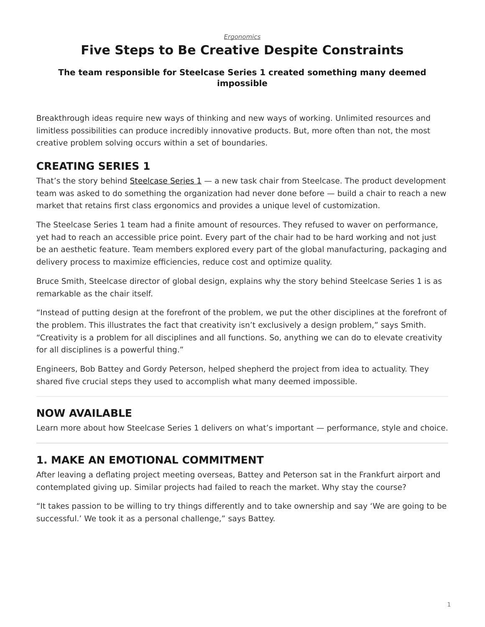#### *[Ergonomics](https://www.steelcase.com/research/topics/ergonomics/)*

# <span id="page-0-0"></span>**Five Steps to Be Creative Despite Constraints**

#### **The team responsible for Steelcase Series 1 created something many deemed impossible**

Breakthrough ideas require new ways of thinking and new ways of working. Unlimited resources and limitless possibilities can produce incredibly innovative products. But, more often than not, the most creative problem solving occurs within a set of boundaries.

#### **CREATING SERIES 1**

That's the story behind [Steelcase](https://www.steelcase.com/products/office-chairs/steelcase-series-1/) Series  $1 - a$  new task chair from Steelcase. The product development team was asked to do something the organization had never done before — build a chair to reach a new market that retains first class ergonomics and provides a unique level of customization.

The Steelcase Series 1 team had a finite amount of resources. They refused to waver on performance, yet had to reach an accessible price point. Every part of the chair had to be hard working and not just be an aesthetic feature. Team members explored every part of the global manufacturing, packaging and delivery process to maximize efficiencies, reduce cost and optimize quality.

Bruce Smith, Steelcase director of global design, explains why the story behind Steelcase Series 1 is as remarkable as the chair itself.

"Instead of putting design at the forefront of the problem, we put the other disciplines at the forefront of the problem. This illustrates the fact that creativity isn't exclusively a design problem," says Smith. "Creativity is a problem for all disciplines and all functions. So, anything we can do to elevate creativity for all disciplines is a powerful thing."

Engineers, Bob Battey and Gordy Peterson, helped shepherd the project from idea to actuality. They shared five crucial steps they used to accomplish what many deemed impossible.

#### **NOW AVAILABLE**

Learn more about how Steelcase Series 1 delivers on what's important — performance, style and choice.

## **1. MAKE AN EMOTIONAL COMMITMENT**

After leaving a deflating project meeting overseas, Battey and Peterson sat in the Frankfurt airport and contemplated giving up. Similar projects had failed to reach the market. Why stay the course?

"It takes passion to be willing to try things differently and to take ownership and say 'We are going to be successful.' We took it as a personal challenge," says Battey.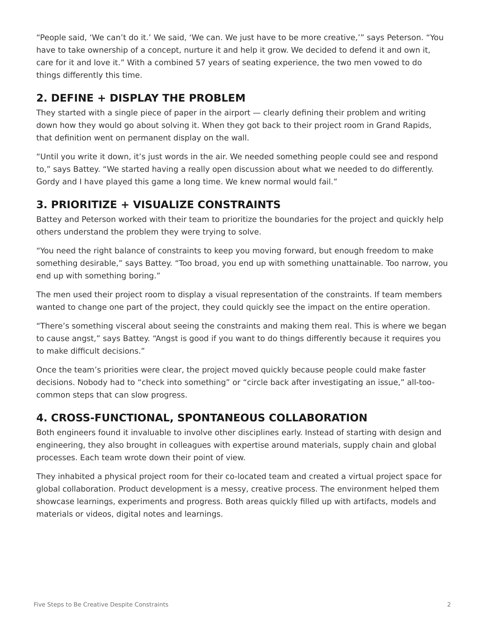"People said, 'We can't do it.' We said, 'We can. We just have to be more creative,'" says Peterson. "You have to take ownership of a concept, nurture it and help it grow. We decided to defend it and own it, care for it and love it." With a combined 57 years of seating experience, the two men vowed to do things differently this time.

#### **2. DEFINE + DISPLAY THE PROBLEM**

They started with a single piece of paper in the airport — clearly defining their problem and writing down how they would go about solving it. When they got back to their project room in Grand Rapids, that definition went on permanent display on the wall.

"Until you write it down, it's just words in the air. We needed something people could see and respond to," says Battey. "We started having a really open discussion about what we needed to do differently. Gordy and I have played this game a long time. We knew normal would fail."

#### **3. PRIORITIZE + VISUALIZE CONSTRAINTS**

Battey and Peterson worked with their team to prioritize the boundaries for the project and quickly help others understand the problem they were trying to solve.

"You need the right balance of constraints to keep you moving forward, but enough freedom to make something desirable," says Battey. "Too broad, you end up with something unattainable. Too narrow, you end up with something boring."

The men used their project room to display a visual representation of the constraints. If team members wanted to change one part of the project, they could quickly see the impact on the entire operation.

"There's something visceral about seeing the constraints and making them real. This is where we began to cause angst," says Battey. "Angst is good if you want to do things differently because it requires you to make difficult decisions."

Once the team's priorities were clear, the project moved quickly because people could make faster decisions. Nobody had to "check into something" or "circle back after investigating an issue," all-toocommon steps that can slow progress.

## **4. CROSS-FUNCTIONAL, SPONTANEOUS COLLABORATION**

Both engineers found it invaluable to involve other disciplines early. Instead of starting with design and engineering, they also brought in colleagues with expertise around materials, supply chain and global processes. Each team wrote down their point of view.

They inhabited a physical project room for their co-located team and created a virtual project space for global collaboration. Product development is a messy, creative process. The environment helped them showcase learnings, experiments and progress. Both areas quickly filled up with artifacts, models and materials or videos, digital notes and learnings.